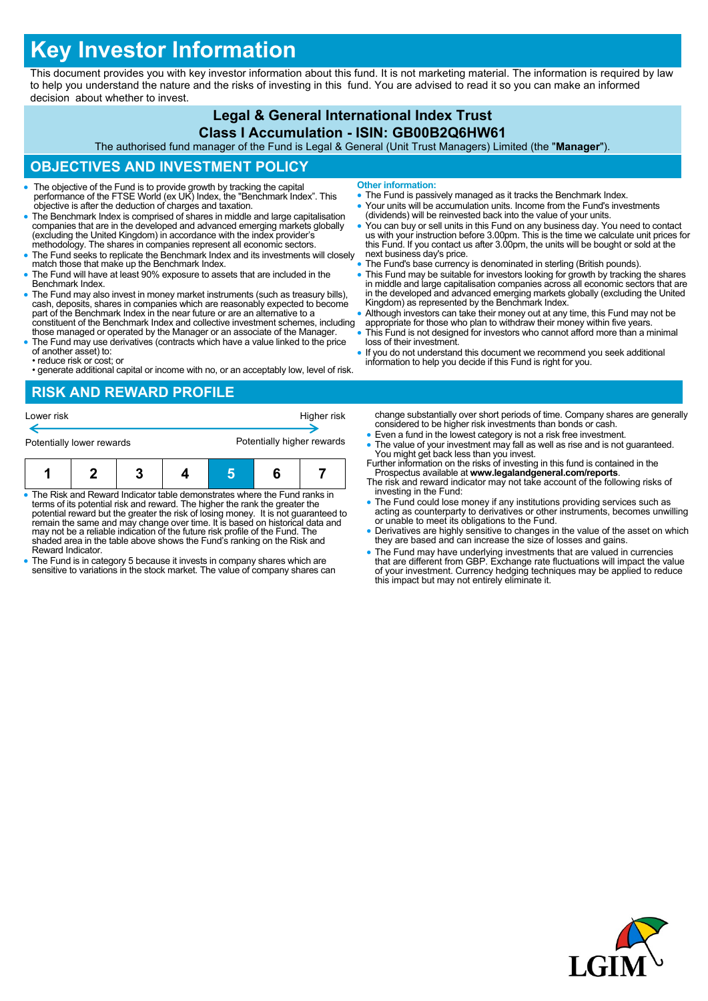# **Key Investor Information**

This document provides you with key investor information about this fund. It is not marketing material. The information is required by law to help you understand the nature and the risks of investing in this fund. You are advised to read it so you can make an informed decision about whether to invest.

#### **Legal & General International Index Trust Class I Accumulation - ISIN: GB00B2Q6HW61**

The authorised fund manager of the Fund is Legal & General (Unit Trust Managers) Limited (the "**Manager**").

## **OBJECTIVES AND INVESTMENT POLICY**

- The objective of the Fund is to provide growth by tracking the capital performance of the FTSE World (ex UK) Index, the "Benchmark Index". This objective is after the deduction of charges and taxation.
- The Benchmark Index is comprised of shares in middle and large capitalisation companies that are in the developed and advanced emerging markets globally (excluding the United Kingdom) in accordance with the index provider's methodology. The shares in companies represent all economic sectors.
- The Fund seeks to replicate the Benchmark Index and its investments will closely match those that make up the Benchmark Index.
- The Fund will have at least 90% exposure to assets that are included in the Benchmark Index.
- The Fund may also invest in money market instruments (such as treasury bills), cash, deposits, shares in companies which are reasonably expected to become part of the Benchmark Index in the near future or are an alternative to a constituent of the Benchmark Index and collective investment schemes, including those managed or operated by the Manager or an associate of the Manager.
- The Fund may use derivatives (contracts which have a value linked to the price of another asset) to:
- reduce risk or cost; or
- generate additional capital or income with no, or an acceptably low, level of risk.
- **Other information:**
- The Fund is passively managed as it tracks the Benchmark Index.
- Your units will be accumulation units. Income from the Fund's investments (dividends) will be reinvested back into the value of your units.
- You can buy or sell units in this Fund on any business day. You need to contact us with your instruction before 3.00pm. This is the time we calculate unit prices for this Fund. If you contact us after 3.00pm, the units will be bought or sold at the next business day's price.
- The Fund's base currency is denominated in sterling (British pounds).
- This Fund may be suitable for investors looking for growth by tracking the shares in middle and large capitalisation companies across all economic sectors that are in the developed and advanced emerging markets globally (excluding the United Kingdom) as represented by the Benchmark Index.
- Although investors can take their money out at any time, this Fund may not be appropriate for those who plan to withdraw their money within five years.
- This Fund is not designed for investors who cannot afford more than a minimal loss of their investment.
- If you do not understand this document we recommend you seek additional information to help you decide if this Fund is right for you.

### **RISK AND REWARD PROFILE**



- The Risk and Reward Indicator table demonstrates where the Fund ranks in terms of its potential risk and reward. The higher the rank the greater the potential reward but the greater the risk of losing money. It is not guaranteed to remain the same and may change over time. It is based on historical data and may not be a reliable indication of the future risk profile of the Fund. The shaded area in the table above shows the Fund's ranking on the Risk and Reward Indicator.
- The Fund is in category 5 because it invests in company shares which are sensitive to variations in the stock market. The value of company shares can
- change substantially over short periods of time. Company shares are generally considered to be higher risk investments than bonds or cash. Even a fund in the lowest category is not a risk free investment.
- The value of your investment may fall as well as rise and is not guaranteed. You might get back less than you invest.
- Further information on the risks of investing in this fund is contained in the Prospectus available at **www.legalandgeneral.com/reports**.
- The risk and reward indicator may not take account of the following risks of investing in the Fund:
- The Fund could lose money if any institutions providing services such as acting as counterparty to derivatives or other instruments, becomes unwilling or unable to meet its obligations to the Fund.
- Derivatives are highly sensitive to changes in the value of the asset on which they are based and can increase the size of losses and gains.
- The Fund may have underlying investments that are valued in currencies that are different from GBP. Exchange rate fluctuations will impact the value of your investment. Currency hedging techniques may be applied to reduce this impact but may not entirely eliminate it.